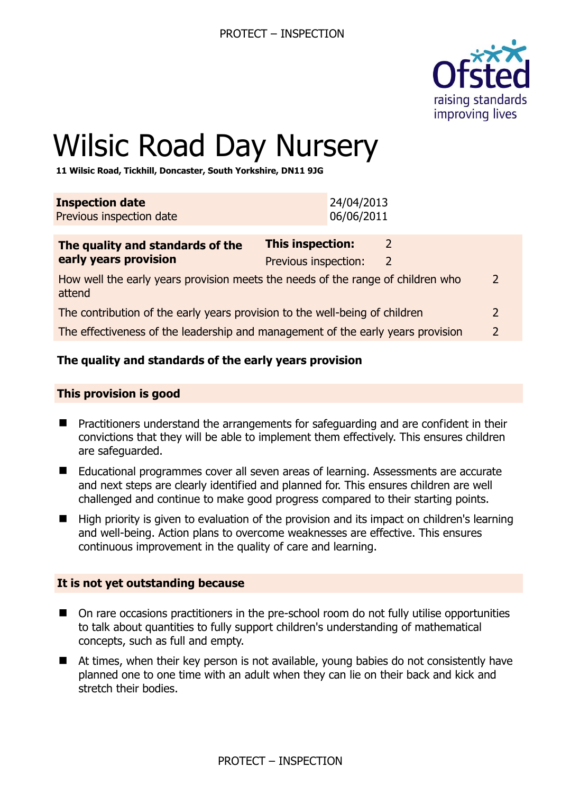

 $\overline{\phantom{0}}$ 

# Wilsic Road Day Nursery

**11 Wilsic Road, Tickhill, Doncaster, South Yorkshire, DN11 9JG** 

| <b>Inspection date</b><br>Previous inspection date                                        |                                                 | 24/04/2013<br>06/06/2011 |              |  |
|-------------------------------------------------------------------------------------------|-------------------------------------------------|--------------------------|--------------|--|
| The quality and standards of the<br>early years provision                                 | <b>This inspection:</b><br>Previous inspection: |                          | <sup>2</sup> |  |
| How well the early years provision meets the needs of the range of children who<br>attend |                                                 |                          |              |  |

| The contribution of the early years provision to the well-being of children |  |
|-----------------------------------------------------------------------------|--|
|-----------------------------------------------------------------------------|--|

The effectiveness of the leadership and management of the early years provision 2

## **The quality and standards of the early years provision**

#### **This provision is good**

- Practitioners understand the arrangements for safeguarding and are confident in their convictions that they will be able to implement them effectively. This ensures children are safeguarded.
- Educational programmes cover all seven areas of learning. Assessments are accurate and next steps are clearly identified and planned for. This ensures children are well challenged and continue to make good progress compared to their starting points.
- High priority is given to evaluation of the provision and its impact on children's learning and well-being. Action plans to overcome weaknesses are effective. This ensures continuous improvement in the quality of care and learning.

#### **It is not yet outstanding because**

- On rare occasions practitioners in the pre-school room do not fully utilise opportunities to talk about quantities to fully support children's understanding of mathematical concepts, such as full and empty.
- At times, when their key person is not available, young babies do not consistently have planned one to one time with an adult when they can lie on their back and kick and stretch their bodies.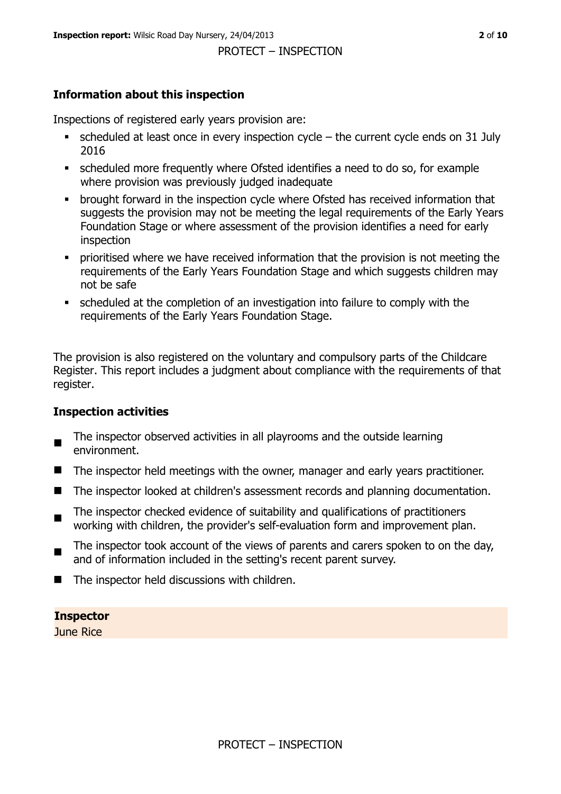## **Information about this inspection**

Inspections of registered early years provision are:

- $\bullet$  scheduled at least once in every inspection cycle the current cycle ends on 31 July 2016
- scheduled more frequently where Ofsted identifies a need to do so, for example where provision was previously judged inadequate
- **•** brought forward in the inspection cycle where Ofsted has received information that suggests the provision may not be meeting the legal requirements of the Early Years Foundation Stage or where assessment of the provision identifies a need for early inspection
- **•** prioritised where we have received information that the provision is not meeting the requirements of the Early Years Foundation Stage and which suggests children may not be safe
- scheduled at the completion of an investigation into failure to comply with the requirements of the Early Years Foundation Stage.

The provision is also registered on the voluntary and compulsory parts of the Childcare Register. This report includes a judgment about compliance with the requirements of that register.

## **Inspection activities**

- $\blacksquare$ The inspector observed activities in all playrooms and the outside learning environment.
- The inspector held meetings with the owner, manager and early years practitioner.
- The inspector looked at children's assessment records and planning documentation.
- $\blacksquare$ The inspector checked evidence of suitability and qualifications of practitioners working with children, the provider's self-evaluation form and improvement plan.
- $\blacksquare$ The inspector took account of the views of parents and carers spoken to on the day, and of information included in the setting's recent parent survey.
- The inspector held discussions with children.

**Inspector** 

June Rice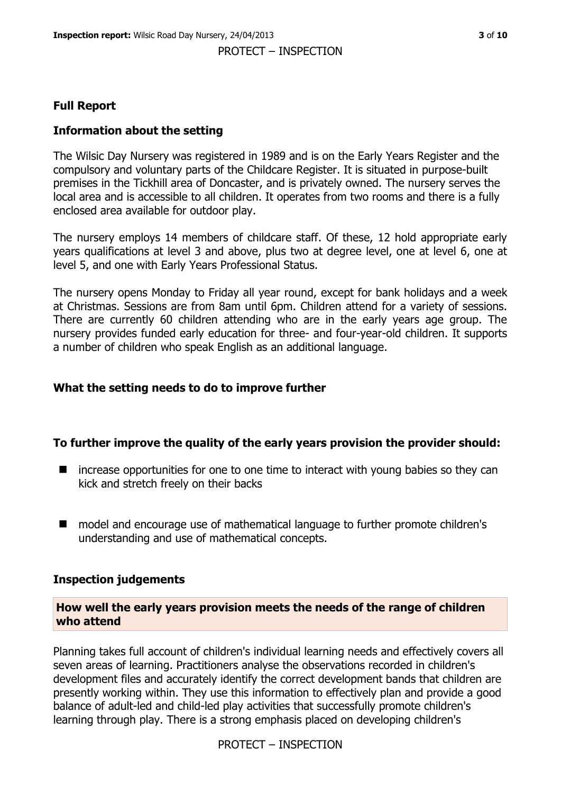## **Full Report**

## **Information about the setting**

The Wilsic Day Nursery was registered in 1989 and is on the Early Years Register and the compulsory and voluntary parts of the Childcare Register. It is situated in purpose-built premises in the Tickhill area of Doncaster, and is privately owned. The nursery serves the local area and is accessible to all children. It operates from two rooms and there is a fully enclosed area available for outdoor play.

The nursery employs 14 members of childcare staff. Of these, 12 hold appropriate early years qualifications at level 3 and above, plus two at degree level, one at level 6, one at level 5, and one with Early Years Professional Status.

The nursery opens Monday to Friday all year round, except for bank holidays and a week at Christmas. Sessions are from 8am until 6pm. Children attend for a variety of sessions. There are currently 60 children attending who are in the early years age group. The nursery provides funded early education for three- and four-year-old children. It supports a number of children who speak English as an additional language.

## **What the setting needs to do to improve further**

## **To further improve the quality of the early years provision the provider should:**

- $\blacksquare$  increase opportunities for one to one time to interact with young babies so they can kick and stretch freely on their backs
- model and encourage use of mathematical language to further promote children's understanding and use of mathematical concepts.

## **Inspection judgements**

#### **How well the early years provision meets the needs of the range of children who attend**

Planning takes full account of children's individual learning needs and effectively covers all seven areas of learning. Practitioners analyse the observations recorded in children's development files and accurately identify the correct development bands that children are presently working within. They use this information to effectively plan and provide a good balance of adult-led and child-led play activities that successfully promote children's learning through play. There is a strong emphasis placed on developing children's

PROTECT – INSPECTION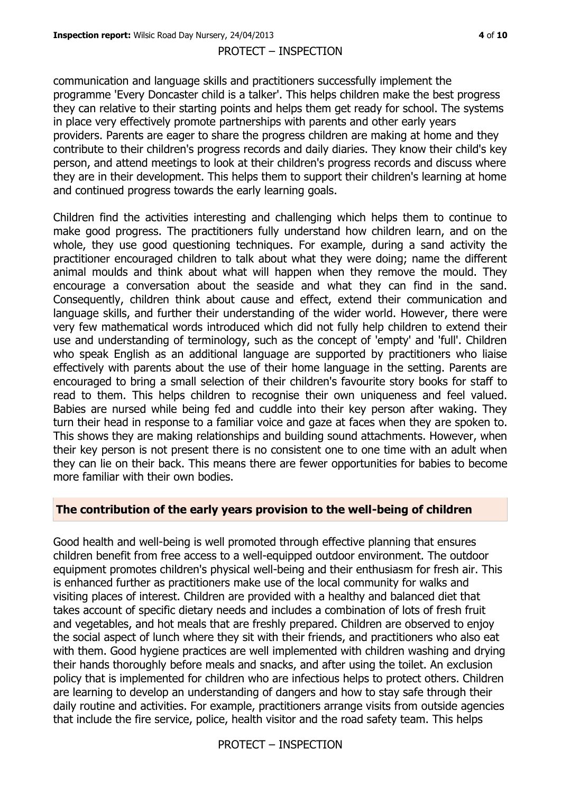communication and language skills and practitioners successfully implement the programme 'Every Doncaster child is a talker'. This helps children make the best progress they can relative to their starting points and helps them get ready for school. The systems in place very effectively promote partnerships with parents and other early years providers. Parents are eager to share the progress children are making at home and they contribute to their children's progress records and daily diaries. They know their child's key person, and attend meetings to look at their children's progress records and discuss where they are in their development. This helps them to support their children's learning at home and continued progress towards the early learning goals.

Children find the activities interesting and challenging which helps them to continue to make good progress. The practitioners fully understand how children learn, and on the whole, they use good questioning techniques. For example, during a sand activity the practitioner encouraged children to talk about what they were doing; name the different animal moulds and think about what will happen when they remove the mould. They encourage a conversation about the seaside and what they can find in the sand. Consequently, children think about cause and effect, extend their communication and language skills, and further their understanding of the wider world. However, there were very few mathematical words introduced which did not fully help children to extend their use and understanding of terminology, such as the concept of 'empty' and 'full'. Children who speak English as an additional language are supported by practitioners who liaise effectively with parents about the use of their home language in the setting. Parents are encouraged to bring a small selection of their children's favourite story books for staff to read to them. This helps children to recognise their own uniqueness and feel valued. Babies are nursed while being fed and cuddle into their key person after waking. They turn their head in response to a familiar voice and gaze at faces when they are spoken to. This shows they are making relationships and building sound attachments. However, when their key person is not present there is no consistent one to one time with an adult when they can lie on their back. This means there are fewer opportunities for babies to become more familiar with their own bodies.

## **The contribution of the early years provision to the well-being of children**

Good health and well-being is well promoted through effective planning that ensures children benefit from free access to a well-equipped outdoor environment. The outdoor equipment promotes children's physical well-being and their enthusiasm for fresh air. This is enhanced further as practitioners make use of the local community for walks and visiting places of interest. Children are provided with a healthy and balanced diet that takes account of specific dietary needs and includes a combination of lots of fresh fruit and vegetables, and hot meals that are freshly prepared. Children are observed to enjoy the social aspect of lunch where they sit with their friends, and practitioners who also eat with them. Good hygiene practices are well implemented with children washing and drying their hands thoroughly before meals and snacks, and after using the toilet. An exclusion policy that is implemented for children who are infectious helps to protect others. Children are learning to develop an understanding of dangers and how to stay safe through their daily routine and activities. For example, practitioners arrange visits from outside agencies that include the fire service, police, health visitor and the road safety team. This helps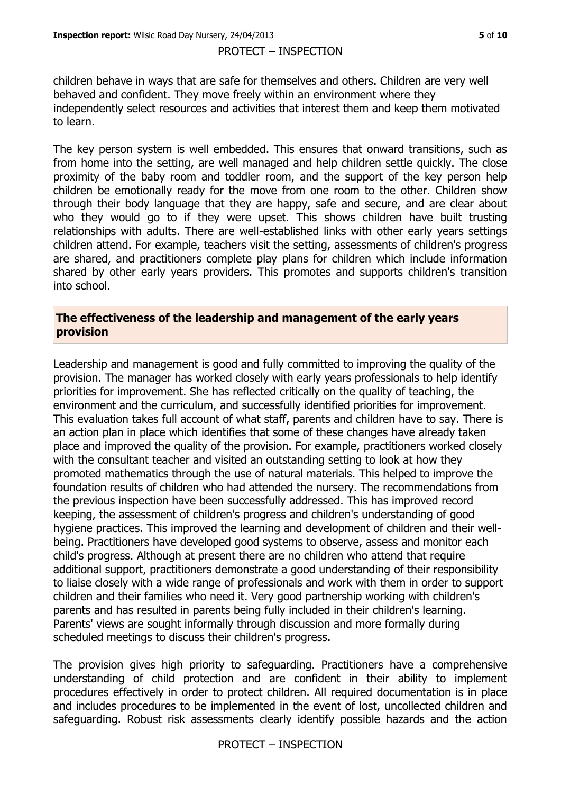children behave in ways that are safe for themselves and others. Children are very well behaved and confident. They move freely within an environment where they independently select resources and activities that interest them and keep them motivated to learn.

The key person system is well embedded. This ensures that onward transitions, such as from home into the setting, are well managed and help children settle quickly. The close proximity of the baby room and toddler room, and the support of the key person help children be emotionally ready for the move from one room to the other. Children show through their body language that they are happy, safe and secure, and are clear about who they would go to if they were upset. This shows children have built trusting relationships with adults. There are well-established links with other early years settings children attend. For example, teachers visit the setting, assessments of children's progress are shared, and practitioners complete play plans for children which include information shared by other early years providers. This promotes and supports children's transition into school.

## **The effectiveness of the leadership and management of the early years provision**

Leadership and management is good and fully committed to improving the quality of the provision. The manager has worked closely with early years professionals to help identify priorities for improvement. She has reflected critically on the quality of teaching, the environment and the curriculum, and successfully identified priorities for improvement. This evaluation takes full account of what staff, parents and children have to say. There is an action plan in place which identifies that some of these changes have already taken place and improved the quality of the provision. For example, practitioners worked closely with the consultant teacher and visited an outstanding setting to look at how they promoted mathematics through the use of natural materials. This helped to improve the foundation results of children who had attended the nursery. The recommendations from the previous inspection have been successfully addressed. This has improved record keeping, the assessment of children's progress and children's understanding of good hygiene practices. This improved the learning and development of children and their wellbeing. Practitioners have developed good systems to observe, assess and monitor each child's progress. Although at present there are no children who attend that require additional support, practitioners demonstrate a good understanding of their responsibility to liaise closely with a wide range of professionals and work with them in order to support children and their families who need it. Very good partnership working with children's parents and has resulted in parents being fully included in their children's learning. Parents' views are sought informally through discussion and more formally during scheduled meetings to discuss their children's progress.

The provision gives high priority to safeguarding. Practitioners have a comprehensive understanding of child protection and are confident in their ability to implement procedures effectively in order to protect children. All required documentation is in place and includes procedures to be implemented in the event of lost, uncollected children and safeguarding. Robust risk assessments clearly identify possible hazards and the action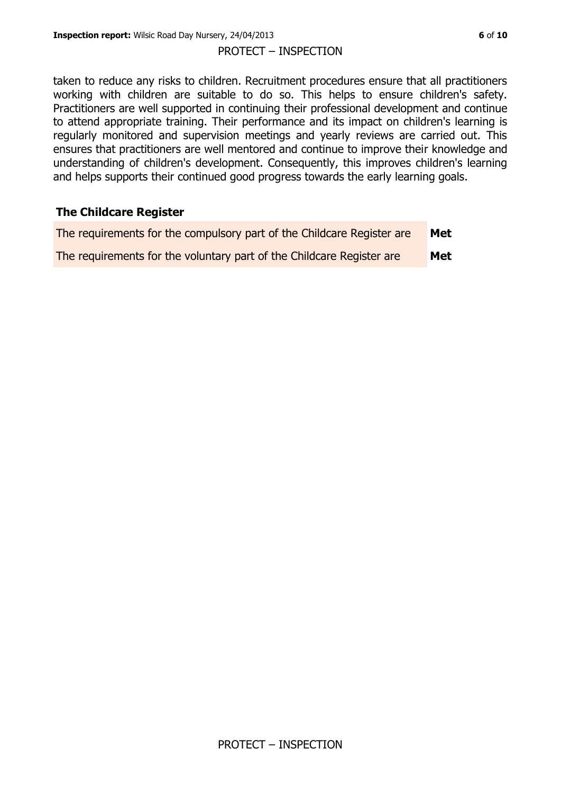taken to reduce any risks to children. Recruitment procedures ensure that all practitioners working with children are suitable to do so. This helps to ensure children's safety. Practitioners are well supported in continuing their professional development and continue to attend appropriate training. Their performance and its impact on children's learning is regularly monitored and supervision meetings and yearly reviews are carried out. This ensures that practitioners are well mentored and continue to improve their knowledge and understanding of children's development. Consequently, this improves children's learning and helps supports their continued good progress towards the early learning goals.

#### **The Childcare Register**

| The requirements for the compulsory part of the Childcare Register are | Met |
|------------------------------------------------------------------------|-----|
| The requirements for the voluntary part of the Childcare Register are  | Met |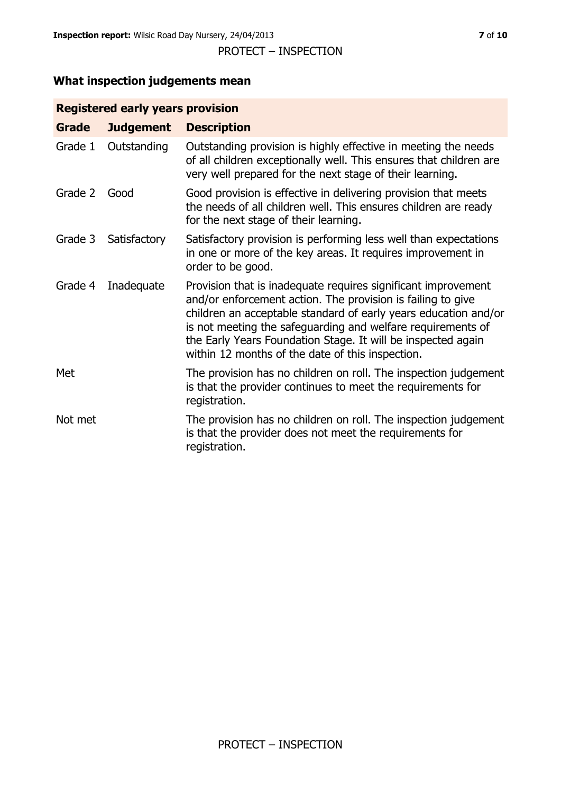## **What inspection judgements mean**

## **Registered early years provision**

| <b>Grade</b> | <b>Judgement</b> | <b>Description</b>                                                                                                                                                                                                                                                                                                                                                                 |
|--------------|------------------|------------------------------------------------------------------------------------------------------------------------------------------------------------------------------------------------------------------------------------------------------------------------------------------------------------------------------------------------------------------------------------|
| Grade 1      | Outstanding      | Outstanding provision is highly effective in meeting the needs<br>of all children exceptionally well. This ensures that children are<br>very well prepared for the next stage of their learning.                                                                                                                                                                                   |
| Grade 2      | Good             | Good provision is effective in delivering provision that meets<br>the needs of all children well. This ensures children are ready<br>for the next stage of their learning.                                                                                                                                                                                                         |
| Grade 3      | Satisfactory     | Satisfactory provision is performing less well than expectations<br>in one or more of the key areas. It requires improvement in<br>order to be good.                                                                                                                                                                                                                               |
| Grade 4      | Inadequate       | Provision that is inadequate requires significant improvement<br>and/or enforcement action. The provision is failing to give<br>children an acceptable standard of early years education and/or<br>is not meeting the safeguarding and welfare requirements of<br>the Early Years Foundation Stage. It will be inspected again<br>within 12 months of the date of this inspection. |
| Met          |                  | The provision has no children on roll. The inspection judgement<br>is that the provider continues to meet the requirements for<br>registration.                                                                                                                                                                                                                                    |
| Not met      |                  | The provision has no children on roll. The inspection judgement<br>is that the provider does not meet the requirements for<br>registration.                                                                                                                                                                                                                                        |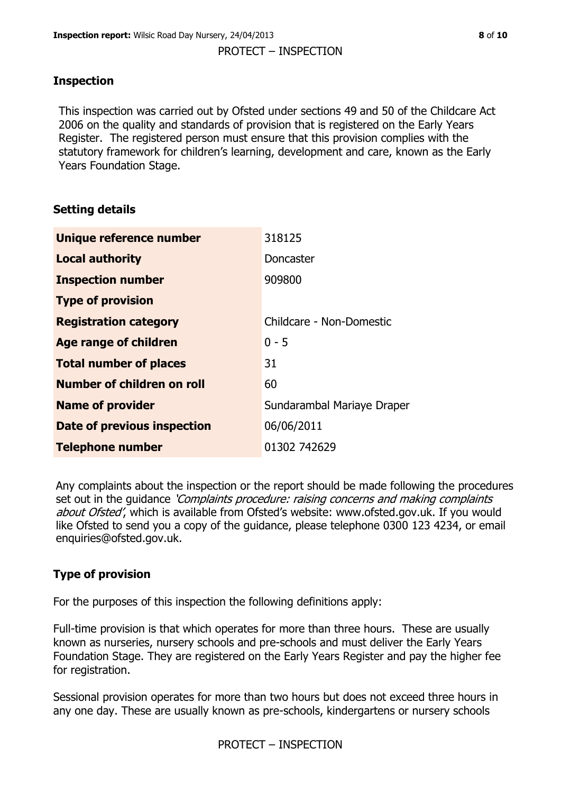## **Inspection**

This inspection was carried out by Ofsted under sections 49 and 50 of the Childcare Act 2006 on the quality and standards of provision that is registered on the Early Years Register. The registered person must ensure that this provision complies with the statutory framework for children's learning, development and care, known as the Early Years Foundation Stage.

## **Setting details**

| Unique reference number       | 318125                     |
|-------------------------------|----------------------------|
| <b>Local authority</b>        | Doncaster                  |
| <b>Inspection number</b>      | 909800                     |
| <b>Type of provision</b>      |                            |
| <b>Registration category</b>  | Childcare - Non-Domestic   |
| Age range of children         | $0 - 5$                    |
| <b>Total number of places</b> | 31                         |
| Number of children on roll    | 60                         |
| <b>Name of provider</b>       | Sundarambal Mariaye Draper |
| Date of previous inspection   | 06/06/2011                 |
| <b>Telephone number</b>       | 01302 742629               |

Any complaints about the inspection or the report should be made following the procedures set out in the guidance *'Complaints procedure: raising concerns and making complaints* about Ofsted', which is available from Ofsted's website: www.ofsted.gov.uk. If you would like Ofsted to send you a copy of the guidance, please telephone 0300 123 4234, or email enquiries@ofsted.gov.uk.

## **Type of provision**

For the purposes of this inspection the following definitions apply:

Full-time provision is that which operates for more than three hours. These are usually known as nurseries, nursery schools and pre-schools and must deliver the Early Years Foundation Stage. They are registered on the Early Years Register and pay the higher fee for registration.

Sessional provision operates for more than two hours but does not exceed three hours in any one day. These are usually known as pre-schools, kindergartens or nursery schools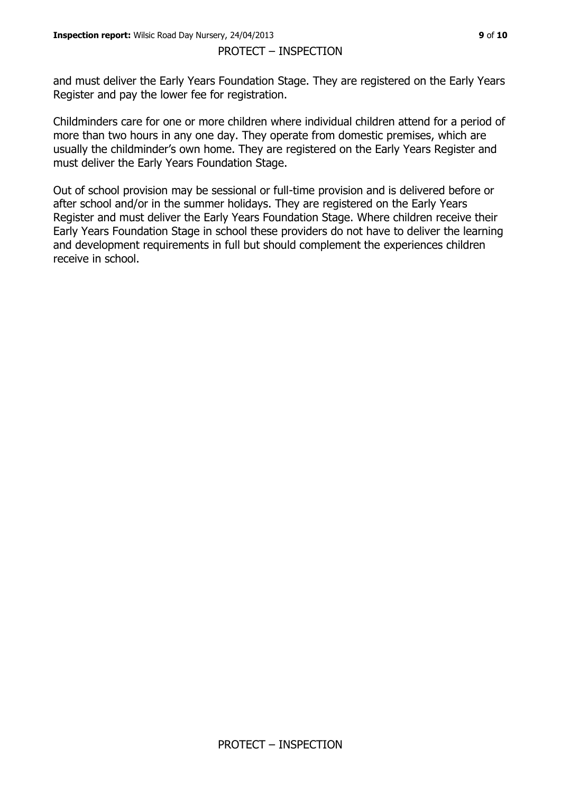and must deliver the Early Years Foundation Stage. They are registered on the Early Years Register and pay the lower fee for registration.

Childminders care for one or more children where individual children attend for a period of more than two hours in any one day. They operate from domestic premises, which are usually the childminder's own home. They are registered on the Early Years Register and must deliver the Early Years Foundation Stage.

Out of school provision may be sessional or full-time provision and is delivered before or after school and/or in the summer holidays. They are registered on the Early Years Register and must deliver the Early Years Foundation Stage. Where children receive their Early Years Foundation Stage in school these providers do not have to deliver the learning and development requirements in full but should complement the experiences children receive in school.